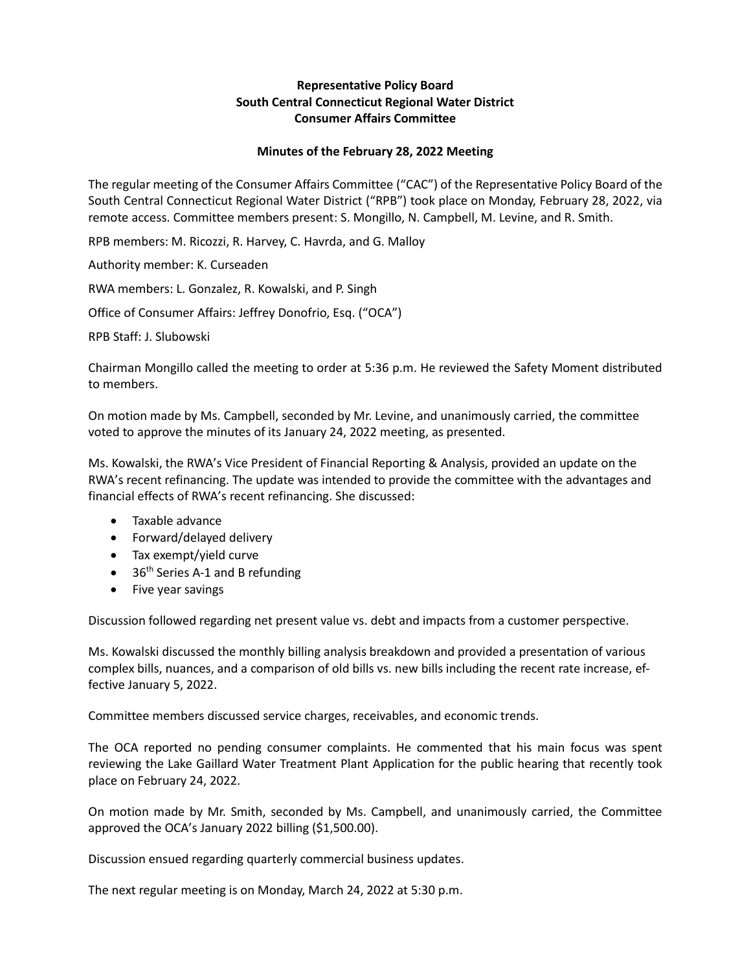## **Representative Policy Board South Central Connecticut Regional Water District Consumer Affairs Committee**

## **Minutes of the February 28, 2022 Meeting**

The regular meeting of the Consumer Affairs Committee ("CAC") of the Representative Policy Board of the South Central Connecticut Regional Water District ("RPB") took place on Monday, February 28, 2022, via remote access. Committee members present: S. Mongillo, N. Campbell, M. Levine, and R. Smith.

RPB members: M. Ricozzi, R. Harvey, C. Havrda, and G. Malloy

Authority member: K. Curseaden

RWA members: L. Gonzalez, R. Kowalski, and P. Singh

Office of Consumer Affairs: Jeffrey Donofrio, Esq. ("OCA")

RPB Staff: J. Slubowski

Chairman Mongillo called the meeting to order at 5:36 p.m. He reviewed the Safety Moment distributed to members.

On motion made by Ms. Campbell, seconded by Mr. Levine, and unanimously carried, the committee voted to approve the minutes of its January 24, 2022 meeting, as presented.

Ms. Kowalski, the RWA's Vice President of Financial Reporting & Analysis, provided an update on the RWA's recent refinancing. The update was intended to provide the committee with the advantages and financial effects of RWA's recent refinancing. She discussed:

- Taxable advance
- Forward/delayed delivery
- Tax exempt/yield curve
- $\bullet$  36<sup>th</sup> Series A-1 and B refunding
- Five year savings

Discussion followed regarding net present value vs. debt and impacts from a customer perspective.

Ms. Kowalski discussed the monthly billing analysis breakdown and provided a presentation of various complex bills, nuances, and a comparison of old bills vs. new bills including the recent rate increase, effective January 5, 2022.

Committee members discussed service charges, receivables, and economic trends.

The OCA reported no pending consumer complaints. He commented that his main focus was spent reviewing the Lake Gaillard Water Treatment Plant Application for the public hearing that recently took place on February 24, 2022.

On motion made by Mr. Smith, seconded by Ms. Campbell, and unanimously carried, the Committee approved the OCA's January 2022 billing (\$1,500.00).

Discussion ensued regarding quarterly commercial business updates.

The next regular meeting is on Monday, March 24, 2022 at 5:30 p.m.